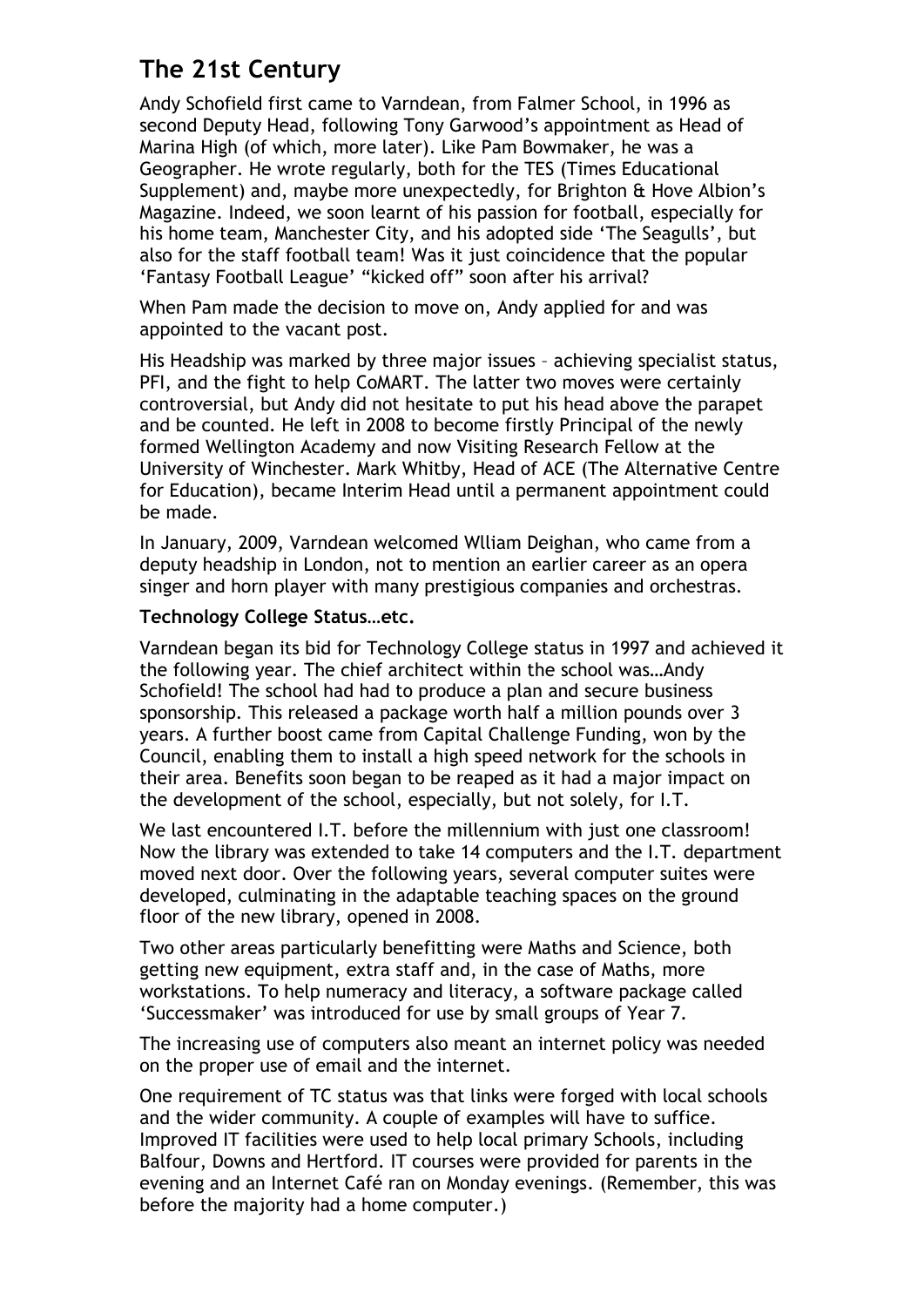# **The 21st Century**

Andy Schofield first came to Varndean, from Falmer School, in 1996 as second Deputy Head, following Tony Garwood's appointment as Head of Marina High (of which, more later). Like Pam Bowmaker, he was a Geographer. He wrote regularly, both for the TES (Times Educational Supplement) and, maybe more unexpectedly, for Brighton & Hove Albion's Magazine. Indeed, we soon learnt of his passion for football, especially for his home team, Manchester City, and his adopted side 'The Seagulls', but also for the staff football team! Was it just coincidence that the popular 'Fantasy Football League' "kicked off" soon after his arrival?

When Pam made the decision to move on, Andy applied for and was appointed to the vacant post.

His Headship was marked by three major issues – achieving specialist status, PFI, and the fight to help CoMART. The latter two moves were certainly controversial, but Andy did not hesitate to put his head above the parapet and be counted. He left in 2008 to become firstly Principal of the newly formed Wellington Academy and now Visiting Research Fellow at the University of Winchester. Mark Whitby, Head of ACE (The Alternative Centre for Education), became Interim Head until a permanent appointment could be made.

In January, 2009, Varndean welcomed Wlliam Deighan, who came from a deputy headship in London, not to mention an earlier career as an opera singer and horn player with many prestigious companies and orchestras.

## **Technology College Status…etc.**

Varndean began its bid for Technology College status in 1997 and achieved it the following year. The chief architect within the school was…Andy Schofield! The school had had to produce a plan and secure business sponsorship*.* This released a package worth half a million pounds over 3 years. A further boost came from Capital Challenge Funding, won by the Council, enabling them to install a high speed network for the schools in their area. Benefits soon began to be reaped as it had a major impact on the development of the school, especially, but not solely, for I.T.

We last encountered I.T. before the millennium with just one classroom! Now the library was extended to take 14 computers and the I.T. department moved next door. Over the following years, several computer suites were developed, culminating in the adaptable teaching spaces on the ground floor of the new library, opened in 2008.

Two other areas particularly benefitting were Maths and Science, both getting new equipment, extra staff and, in the case of Maths, more workstations. To help numeracy and literacy, a software package called 'Successmaker' was introduced for use by small groups of Year 7.

The increasing use of computers also meant an internet policy was needed on the proper use of email and the internet.

One requirement of TC status was that links were forged with local schools and the wider community. A couple of examples will have to suffice. Improved IT facilities were used to help local primary Schools, including Balfour, Downs and Hertford. IT courses were provided for parents in the evening and an Internet Café ran on Monday evenings. (Remember, this was before the majority had a home computer.)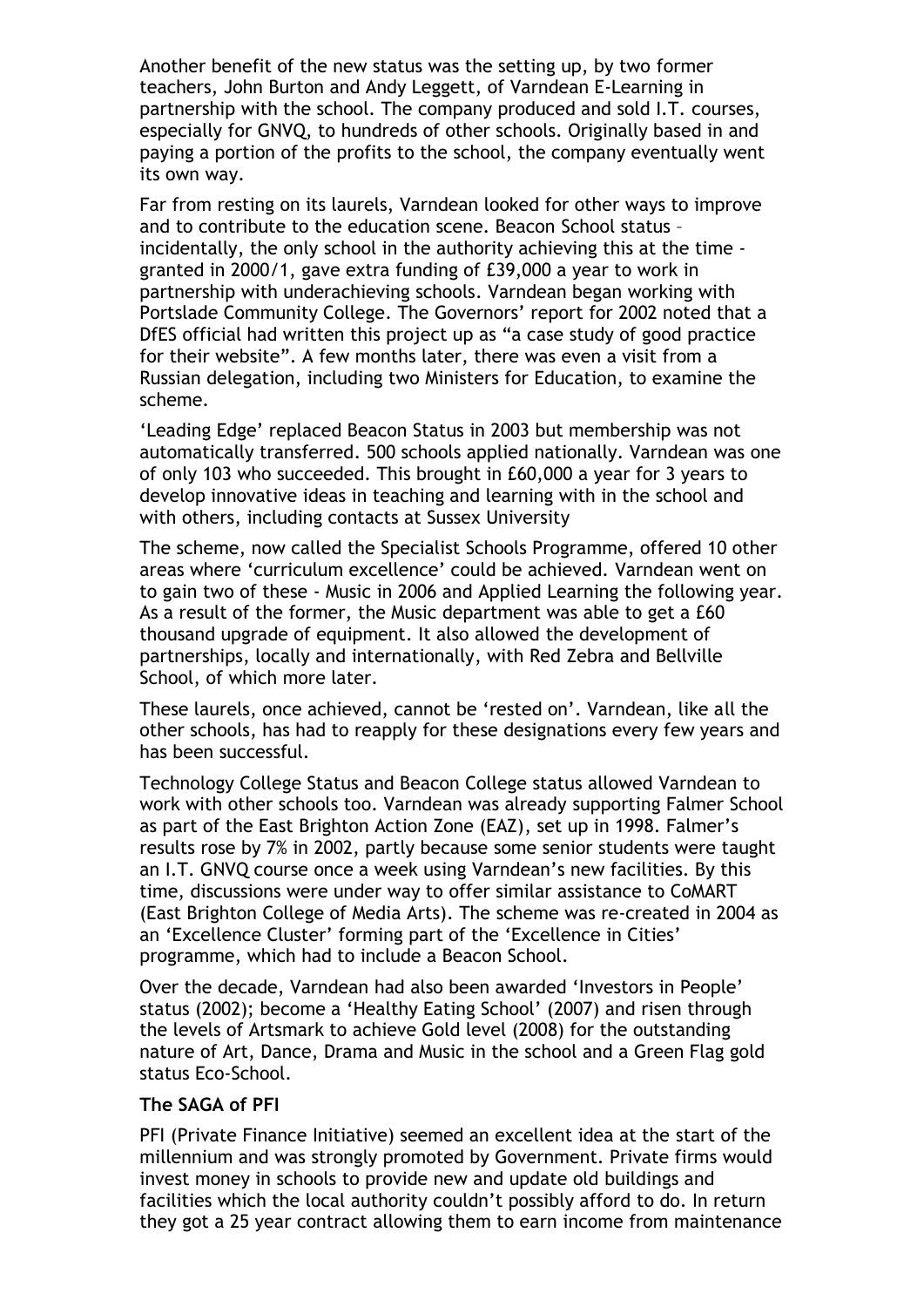Another benefit of the new status was the setting up, by two former teachers, John Burton and Andy Leggett, of Varndean E-Learning in partnership with the school. The company produced and sold I.T. courses, especially for GNVQ, to hundreds of other schools. Originally based in and paying a portion of the profits to the school, the company eventually went its own way.

Far from resting on its laurels, Varndean looked for other ways to improve and to contribute to the education scene. Beacon School status – incidentally, the only school in the authority achieving this at the time granted in 2000/1, gave extra funding of £39,000 a year to work in partnership with underachieving schools. Varndean began working with Portslade Community College. The Governors' report for 2002 noted that a DfES official had written this project up as "a case study of good practice for their website". A few months later, there was even a visit from a Russian delegation, including two Ministers for Education, to examine the scheme.

'Leading Edge' replaced Beacon Status in 2003 but membership was not automatically transferred. 500 schools applied nationally. Varndean was one of only 103 who succeeded. This brought in £60,000 a year for 3 years to develop innovative ideas in teaching and learning with in the school and with others, including contacts at Sussex University

The scheme, now called the Specialist Schools Programme, offered 10 other areas where 'curriculum excellence' could be achieved. Varndean went on to gain two of these - Music in 2006 and Applied Learning the following year. As a result of the former, the Music department was able to get a £60 thousand upgrade of equipment. It also allowed the development of partnerships, locally and internationally, with Red Zebra and Bellville School, of which more later.

These laurels, once achieved, cannot be 'rested on'. Varndean, like all the other schools, has had to reapply for these designations every few years and has been successful.

Technology College Status and Beacon College status allowed Varndean to work with other schools too. Varndean was already supporting Falmer School as part of the East Brighton Action Zone (EAZ), set up in 1998. Falmer's results rose by 7% in 2002, partly because some senior students were taught an I.T. GNVQ course once a week using Varndean's new facilities. By this time, discussions were under way to offer similar assistance to CoMART (East Brighton College of Media Arts). The scheme was re-created in 2004 as an 'Excellence Cluster' forming part of the 'Excellence in Cities' programme, which had to include a Beacon School.

Over the decade, Varndean had also been awarded 'Investors in People' status (2002); become a 'Healthy Eating School' (2007) and risen through the levels of Artsmark to achieve Gold level (2008) for the outstanding nature of Art, Dance, Drama and Music in the school and a Green Flag gold status Eco-School.

## **The SAGA of PFI**

PFI (Private Finance Initiative) seemed an excellent idea at the start of the millennium and was strongly promoted by Government. Private firms would invest money in schools to provide new and update old buildings and facilities which the local authority couldn't possibly afford to do. In return they got a 25 year contract allowing them to earn income from maintenance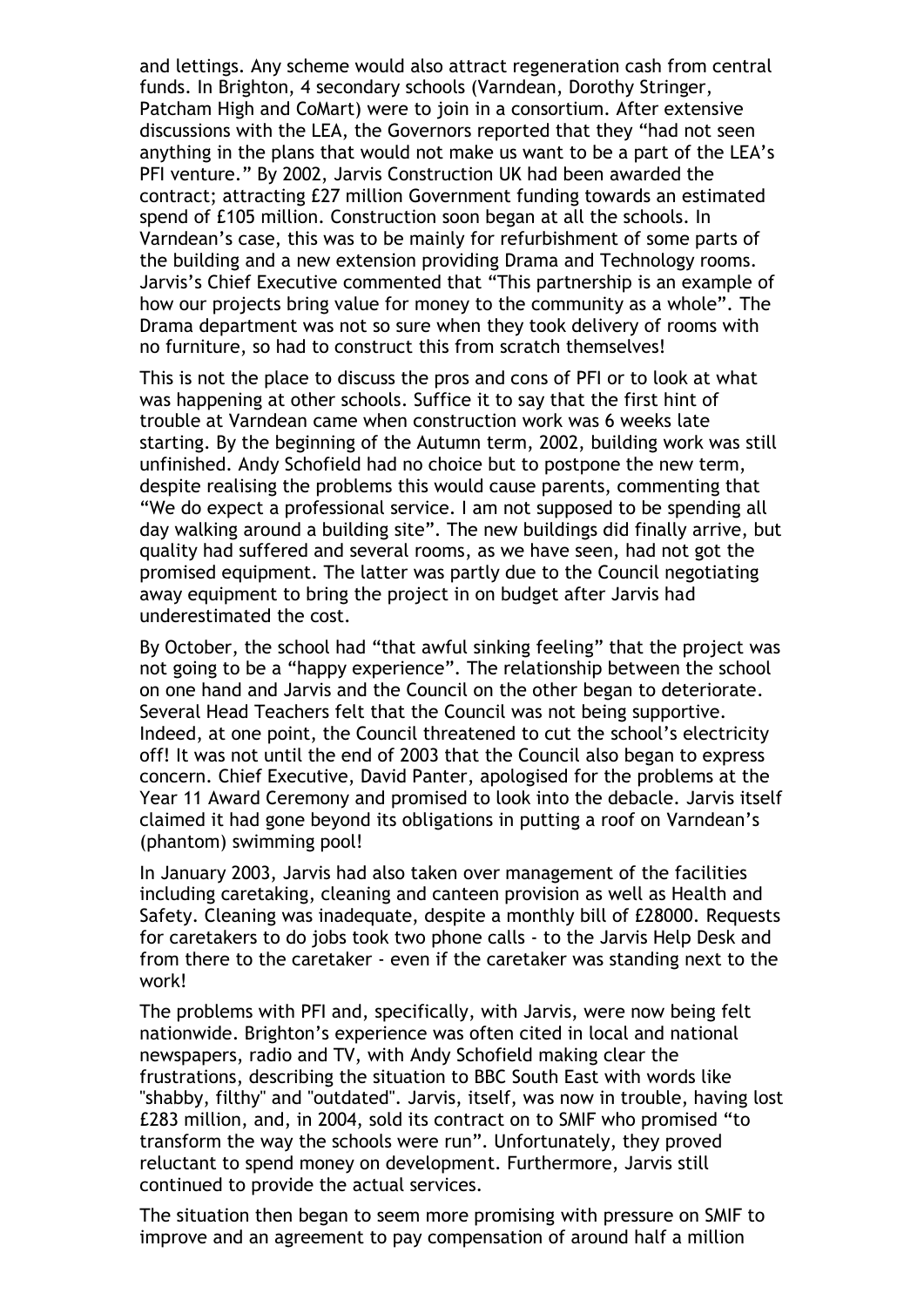and lettings. Any scheme would also attract regeneration cash from central funds. In Brighton, 4 secondary schools (Varndean, Dorothy Stringer, Patcham High and CoMart) were to join in a consortium. After extensive discussions with the LEA, the Governors reported that they "had not seen anything in the plans that would not make us want to be a part of the LEA's PFI venture." By 2002, Jarvis Construction UK had been awarded the contract; attracting £27 million Government funding towards an estimated spend of £105 million. Construction soon began at all the schools. In Varndean's case, this was to be mainly for refurbishment of some parts of the building and a new extension providing Drama and Technology rooms. Jarvis's Chief Executive commented that "This partnership is an example of how our projects bring value for money to the community as a whole". The Drama department was not so sure when they took delivery of rooms with no furniture, so had to construct this from scratch themselves!

This is not the place to discuss the pros and cons of PFI or to look at what was happening at other schools. Suffice it to say that the first hint of trouble at Varndean came when construction work was 6 weeks late starting. By the beginning of the Autumn term, 2002, building work was still unfinished. Andy Schofield had no choice but to postpone the new term, despite realising the problems this would cause parents, commenting that "We do expect a professional service. I am not supposed to be spending all day walking around a building site". The new buildings did finally arrive, but quality had suffered and several rooms, as we have seen, had not got the promised equipment. The latter was partly due to the Council negotiating away equipment to bring the project in on budget after Jarvis had underestimated the cost.

By October, the school had "that awful sinking feeling" that the project was not going to be a "happy experience". The relationship between the school on one hand and Jarvis and the Council on the other began to deteriorate. Several Head Teachers felt that the Council was not being supportive. Indeed, at one point, the Council threatened to cut the school's electricity off! It was not until the end of 2003 that the Council also began to express concern. Chief Executive, David Panter, apologised for the problems at the Year 11 Award Ceremony and promised to look into the debacle. Jarvis itself claimed it had gone beyond its obligations in putting a roof on Varndean's (phantom) swimming pool!

In January 2003, Jarvis had also taken over management of the facilities including caretaking, cleaning and canteen provision as well as Health and Safety. Cleaning was inadequate, despite a monthly bill of £28000. Requests for caretakers to do jobs took two phone calls - to the Jarvis Help Desk and from there to the caretaker - even if the caretaker was standing next to the work!

The problems with PFI and, specifically, with Jarvis, were now being felt nationwide. Brighton's experience was often cited in local and national newspapers, radio and TV, with Andy Schofield making clear the frustrations, describing the situation to BBC South East with words like "shabby, filthy" and "outdated". Jarvis, itself, was now in trouble, having lost £283 million, and, in 2004, sold its contract on to SMIF who promised "to transform the way the schools were run". Unfortunately, they proved reluctant to spend money on development. Furthermore, Jarvis still continued to provide the actual services.

The situation then began to seem more promising with pressure on SMIF to improve and an agreement to pay compensation of around half a million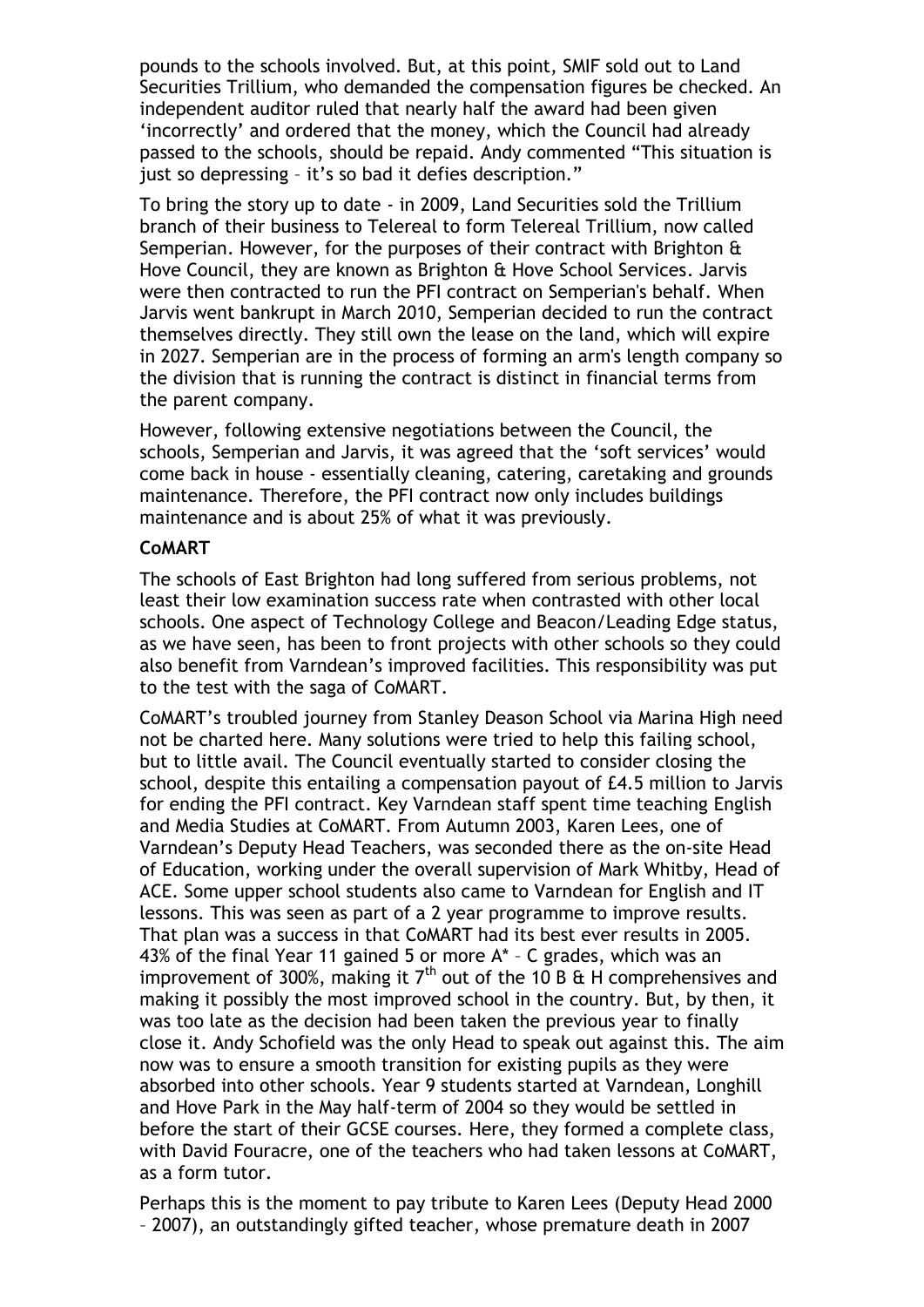pounds to the schools involved. But, at this point, SMIF sold out to Land Securities Trillium, who demanded the compensation figures be checked. An independent auditor ruled that nearly half the award had been given 'incorrectly' and ordered that the money, which the Council had already passed to the schools, should be repaid. Andy commented "This situation is just so depressing – it's so bad it defies description."

To bring the story up to date - in 2009, Land Securities sold the Trillium branch of their business to Telereal to form Telereal Trillium, now called Semperian. However, for the purposes of their contract with Brighton & Hove Council, they are known as Brighton & Hove School Services. Jarvis were then contracted to run the PFI contract on Semperian's behalf. When Jarvis went bankrupt in March 2010, Semperian decided to run the contract themselves directly. They still own the lease on the land, which will expire in 2027. Semperian are in the process of forming an arm's length company so the division that is running the contract is distinct in financial terms from the parent company.

However, following extensive negotiations between the Council, the schools, Semperian and Jarvis, it was agreed that the 'soft services' would come back in house - essentially cleaning, catering, caretaking and grounds maintenance. Therefore, the PFI contract now only includes buildings maintenance and is about 25% of what it was previously.

## **CoMART**

The schools of East Brighton had long suffered from serious problems, not least their low examination success rate when contrasted with other local schools. One aspect of Technology College and Beacon/Leading Edge status, as we have seen, has been to front projects with other schools so they could also benefit from Varndean's improved facilities. This responsibility was put to the test with the saga of CoMART.

CoMART's troubled journey from Stanley Deason School via Marina High need not be charted here. Many solutions were tried to help this failing school, but to little avail. The Council eventually started to consider closing the school, despite this entailing a compensation payout of £4.5 million to Jarvis for ending the PFI contract. Key Varndean staff spent time teaching English and Media Studies at CoMART. From Autumn 2003, Karen Lees, one of Varndean's Deputy Head Teachers, was seconded there as the on-site Head of Education, working under the overall supervision of Mark Whitby, Head of ACE. Some upper school students also came to Varndean for English and IT lessons. This was seen as part of a 2 year programme to improve results. That plan was a success in that CoMART had its best ever results in 2005. 43% of the final Year 11 gained 5 or more A\* – C grades, which was an improvement of 300%, making it  $7<sup>th</sup>$  out of the 10 B & H comprehensives and making it possibly the most improved school in the country. But, by then, it was too late as the decision had been taken the previous year to finally close it. Andy Schofield was the only Head to speak out against this. The aim now was to ensure a smooth transition for existing pupils as they were absorbed into other schools. Year 9 students started at Varndean, Longhill and Hove Park in the May half-term of 2004 so they would be settled in before the start of their GCSE courses. Here, they formed a complete class, with David Fouracre, one of the teachers who had taken lessons at CoMART, as a form tutor.

Perhaps this is the moment to pay tribute to Karen Lees (Deputy Head 2000 – 2007), an outstandingly gifted teacher, whose premature death in 2007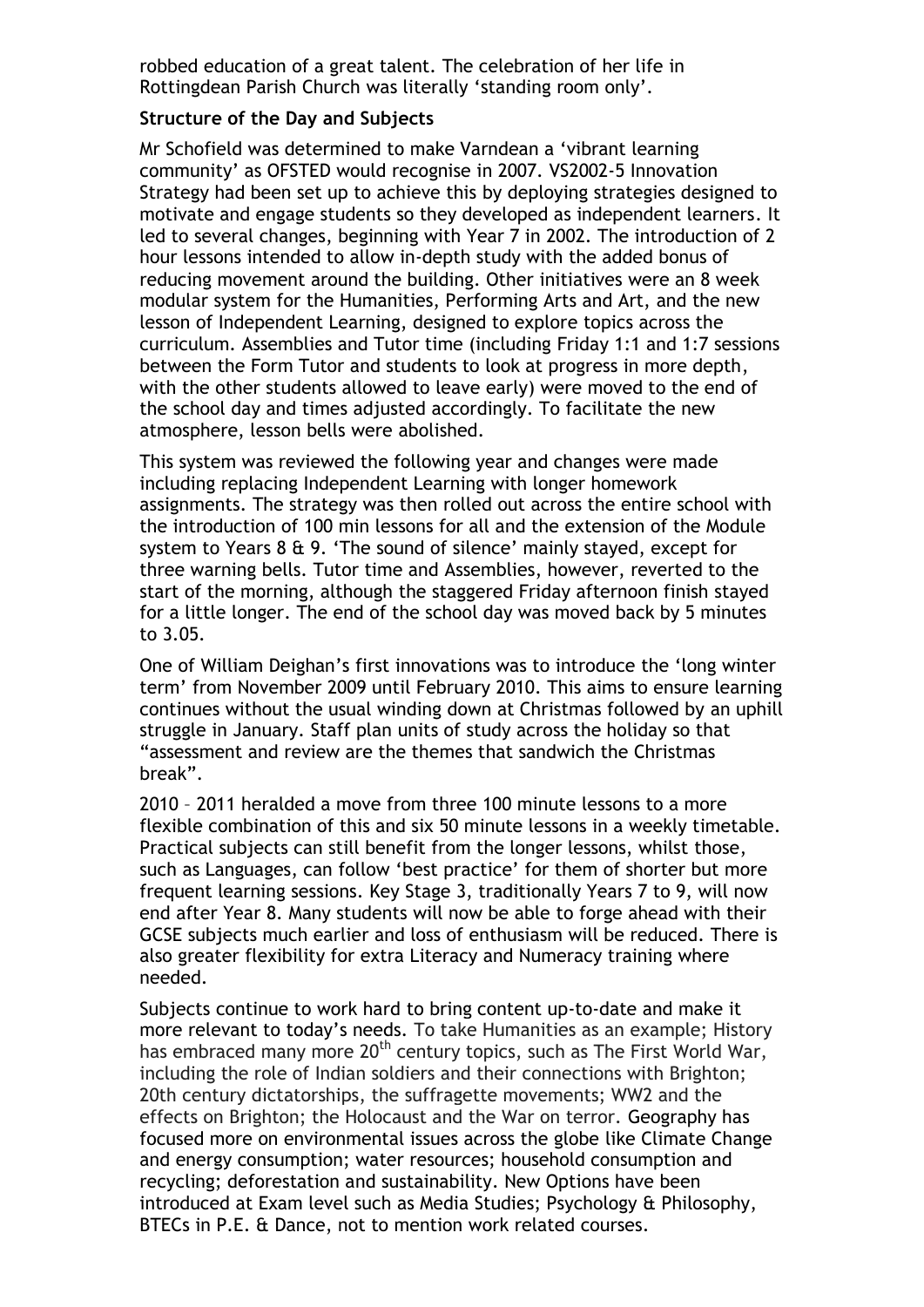robbed education of a great talent. The celebration of her life in Rottingdean Parish Church was literally 'standing room only'.

## **Structure of the Day and Subjects**

Mr Schofield was determined to make Varndean a 'vibrant learning community' as OFSTED would recognise in 2007. VS2002-5 Innovation Strategy had been set up to achieve this by deploying strategies designed to motivate and engage students so they developed as independent learners. It led to several changes, beginning with Year 7 in 2002. The introduction of 2 hour lessons intended to allow in-depth study with the added bonus of reducing movement around the building. Other initiatives were an 8 week modular system for the Humanities, Performing Arts and Art, and the new lesson of Independent Learning, designed to explore topics across the curriculum. Assemblies and Tutor time (including Friday 1:1 and 1:7 sessions between the Form Tutor and students to look at progress in more depth, with the other students allowed to leave early) were moved to the end of the school day and times adjusted accordingly. To facilitate the new atmosphere, lesson bells were abolished.

This system was reviewed the following year and changes were made including replacing Independent Learning with longer homework assignments. The strategy was then rolled out across the entire school with the introduction of 100 min lessons for all and the extension of the Module system to Years 8 & 9. 'The sound of silence' mainly stayed, except for three warning bells. Tutor time and Assemblies, however, reverted to the start of the morning, although the staggered Friday afternoon finish stayed for a little longer. The end of the school day was moved back by 5 minutes to 3.05.

One of William Deighan's first innovations was to introduce the 'long winter term' from November 2009 until February 2010. This aims to ensure learning continues without the usual winding down at Christmas followed by an uphill struggle in January. Staff plan units of study across the holiday so that "assessment and review are the themes that sandwich the Christmas break".

2010 – 2011 heralded a move from three 100 minute lessons to a more flexible combination of this and six 50 minute lessons in a weekly timetable. Practical subjects can still benefit from the longer lessons, whilst those, such as Languages, can follow 'best practice' for them of shorter but more frequent learning sessions. Key Stage 3, traditionally Years 7 to 9, will now end after Year 8. Many students will now be able to forge ahead with their GCSE subjects much earlier and loss of enthusiasm will be reduced. There is also greater flexibility for extra Literacy and Numeracy training where needed.

Subjects continue to work hard to bring content up-to-date and make it more relevant to today's needs. To take Humanities as an example; History has embraced many more  $20<sup>th</sup>$  century topics, such as The First World War, including the role of Indian soldiers and their connections with Brighton; 20th century dictatorships, the suffragette movements; WW2 and the effects on Brighton; the Holocaust and the War on terror. Geography has focused more on environmental issues across the globe like Climate Change and energy consumption; water resources; household consumption and recycling; deforestation and sustainability. New Options have been introduced at Exam level such as Media Studies; Psychology & Philosophy, BTECs in P.E. & Dance, not to mention work related courses.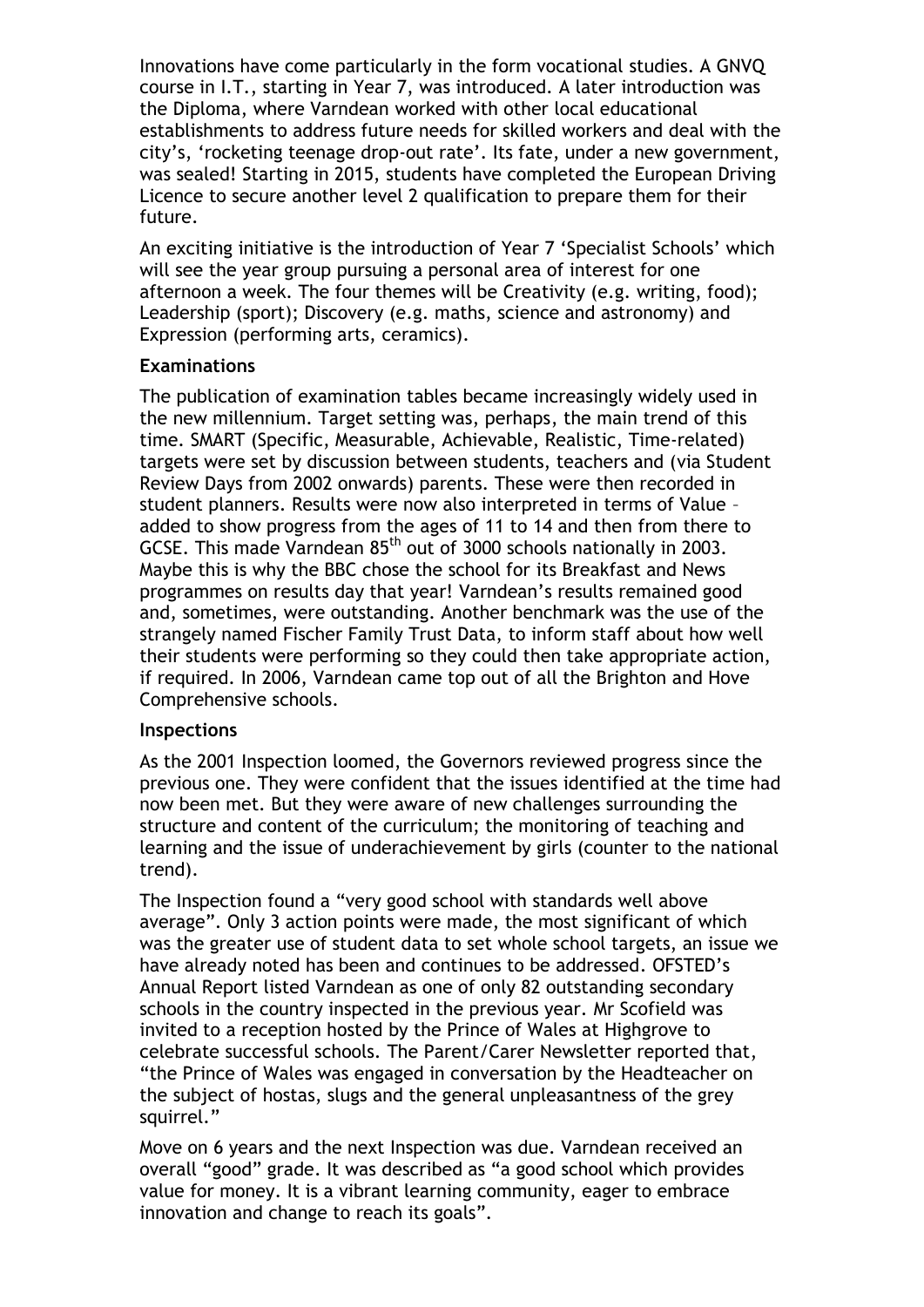Innovations have come particularly in the form vocational studies. A GNVQ course in I.T., starting in Year 7, was introduced*.* A later introduction was the Diploma, where Varndean worked with other local educational establishments to address future needs for skilled workers and deal with the city's, 'rocketing teenage drop-out rate'. Its fate, under a new government, was sealed! Starting in 2015, students have completed the European Driving Licence to secure another level 2 qualification to prepare them for their future.

An exciting initiative is the introduction of Year 7 'Specialist Schools' which will see the year group pursuing a personal area of interest for one afternoon a week. The four themes will be Creativity (e.g. writing, food); Leadership (sport); Discovery (e.g. maths, science and astronomy) and Expression (performing arts, ceramics).

## **Examinations**

The publication of examination tables became increasingly widely used in the new millennium. Target setting was, perhaps, the main trend of this time. SMART (Specific, Measurable, Achievable, Realistic, Time-related) targets were set by discussion between students, teachers and (via Student Review Days from 2002 onwards) parents. These were then recorded in student planners. Results were now also interpreted in terms of Value – added to show progress from the ages of 11 to 14 and then from there to GCSE. This made Varndean 85<sup>th</sup> out of 3000 schools nationally in 2003. Maybe this is why the BBC chose the school for its Breakfast and News programmes on results day that year! Varndean's results remained good and, sometimes, were outstanding. Another benchmark was the use of the strangely named Fischer Family Trust Data, to inform staff about how well their students were performing so they could then take appropriate action, if required. In 2006, Varndean came top out of all the Brighton and Hove Comprehensive schools.

# **Inspections**

As the 2001 Inspection loomed, the Governors reviewed progress since the previous one. They were confident that the issues identified at the time had now been met. But they were aware of new challenges surrounding the structure and content of the curriculum; the monitoring of teaching and learning and the issue of underachievement by girls (counter to the national trend).

The Inspection found a "very good school with standards well above average". Only 3 action points were made, the most significant of which was the greater use of student data to set whole school targets, an issue we have already noted has been and continues to be addressed. OFSTED's Annual Report listed Varndean as one of only 82 outstanding secondary schools in the country inspected in the previous year. Mr Scofield was invited to a reception hosted by the Prince of Wales at Highgrove to celebrate successful schools. The Parent/Carer Newsletter reported that, "the Prince of Wales was engaged in conversation by the Headteacher on the subject of hostas, slugs and the general unpleasantness of the grey squirrel."

Move on 6 years and the next Inspection was due. Varndean received an overall "good" grade. It was described as "a good school which provides value for money. It is a vibrant learning community, eager to embrace innovation and change to reach its goals".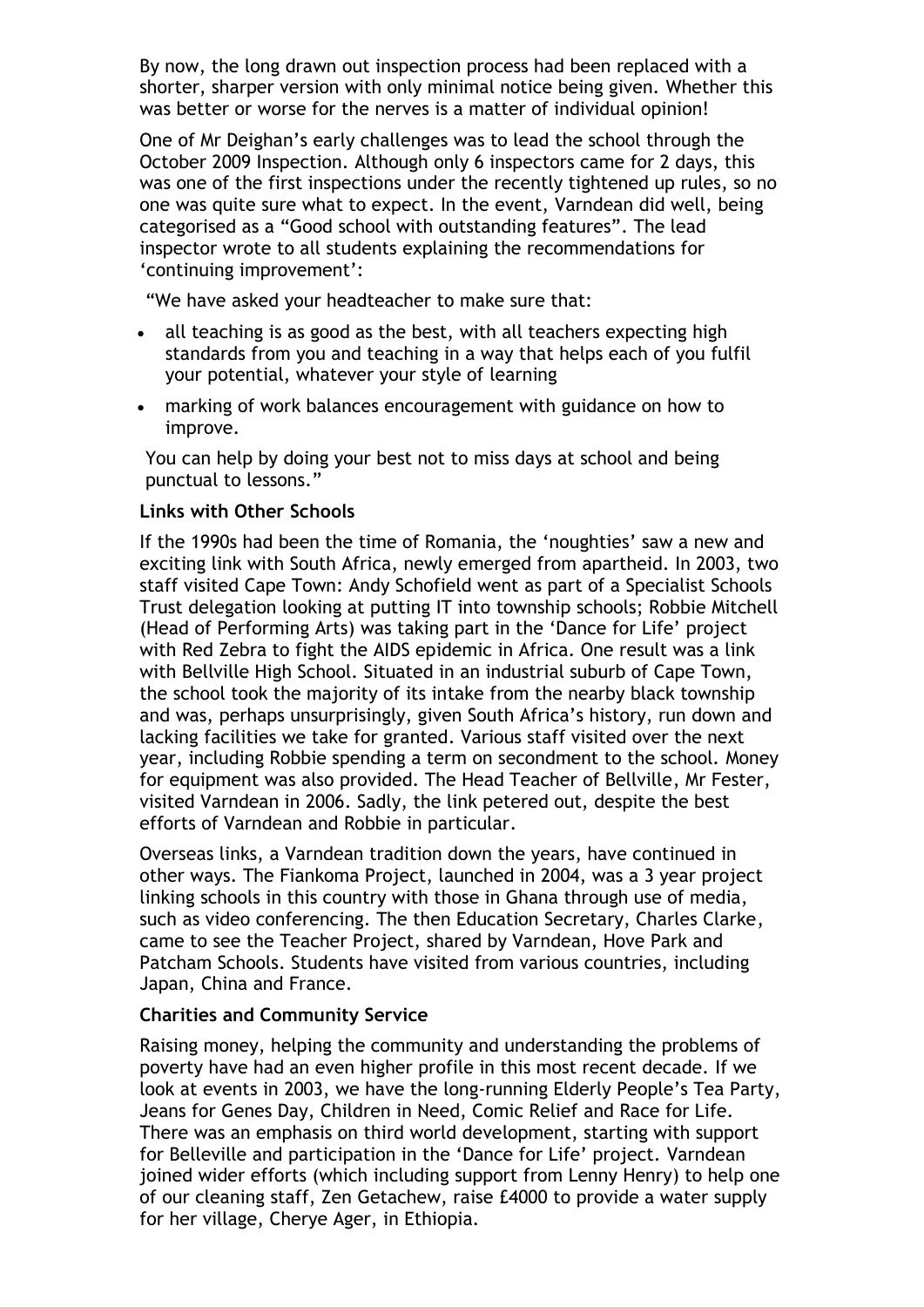By now, the long drawn out inspection process had been replaced with a shorter, sharper version with only minimal notice being given. Whether this was better or worse for the nerves is a matter of individual opinion!

One of Mr Deighan's early challenges was to lead the school through the October 2009 Inspection. Although only 6 inspectors came for 2 days, this was one of the first inspections under the recently tightened up rules, so no one was quite sure what to expect. In the event, Varndean did well, being categorised as a "Good school with outstanding features". The lead inspector wrote to all students explaining the recommendations for 'continuing improvement':

"We have asked your headteacher to make sure that:

- all teaching is as good as the best, with all teachers expecting high standards from you and teaching in a way that helps each of you fulfil your potential, whatever your style of learning
- marking of work balances encouragement with guidance on how to improve.

You can help by doing your best not to miss days at school and being punctual to lessons."

## **Links with Other Schools**

If the 1990s had been the time of Romania, the 'noughties' saw a new and exciting link with South Africa, newly emerged from apartheid. In 2003, two staff visited Cape Town: Andy Schofield went as part of a Specialist Schools Trust delegation looking at putting IT into township schools; Robbie Mitchell (Head of Performing Arts) was taking part in the 'Dance for Life' project with Red Zebra to fight the AIDS epidemic in Africa. One result was a link with Bellville High School. Situated in an industrial suburb of Cape Town, the school took the majority of its intake from the nearby black township and was, perhaps unsurprisingly, given South Africa's history, run down and lacking facilities we take for granted. Various staff visited over the next year, including Robbie spending a term on secondment to the school. Money for equipment was also provided. The Head Teacher of Bellville, Mr Fester, visited Varndean in 2006. Sadly, the link petered out, despite the best efforts of Varndean and Robbie in particular.

Overseas links, a Varndean tradition down the years, have continued in other ways. The Fiankoma Project, launched in 2004, was a 3 year project linking schools in this country with those in Ghana through use of media, such as video conferencing. The then Education Secretary, Charles Clarke, came to see the Teacher Project, shared by Varndean, Hove Park and Patcham Schools. Students have visited from various countries, including Japan, China and France.

## **Charities and Community Service**

Raising money, helping the community and understanding the problems of poverty have had an even higher profile in this most recent decade. If we look at events in 2003, we have the long-running Elderly People's Tea Party, Jeans for Genes Day, Children in Need, Comic Relief and Race for Life. There was an emphasis on third world development, starting with support for Belleville and participation in the 'Dance for Life' project. Varndean joined wider efforts (which including support from Lenny Henry) to help one of our cleaning staff, Zen Getachew, raise £4000 to provide a water supply for her village, Cherye Ager, in Ethiopia.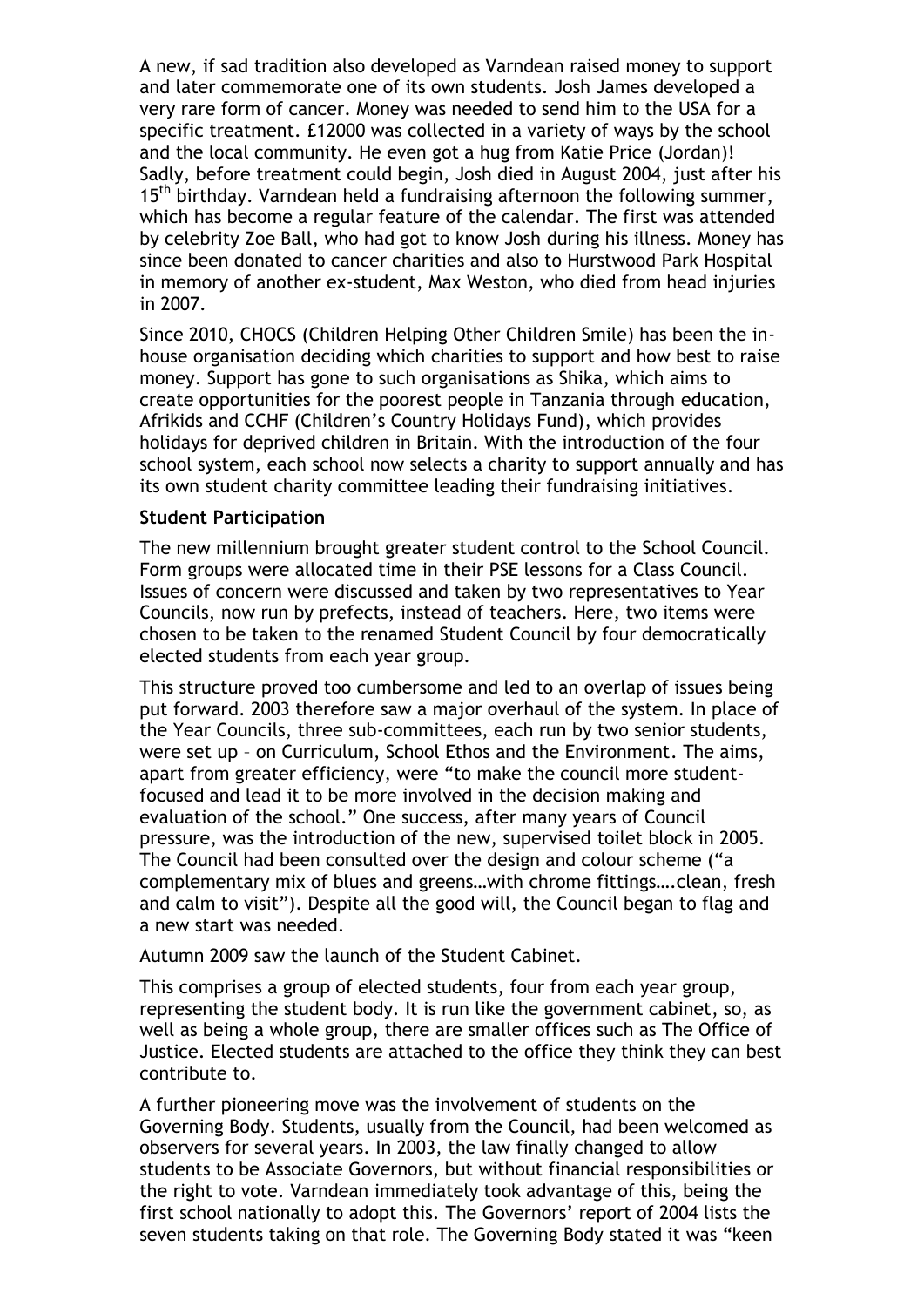A new, if sad tradition also developed as Varndean raised money to support and later commemorate one of its own students. Josh James developed a very rare form of cancer. Money was needed to send him to the USA for a specific treatment. £12000 was collected in a variety of ways by the school and the local community. He even got a hug from Katie Price (Jordan)! Sadly, before treatment could begin, Josh died in August 2004, just after his 15<sup>th</sup> birthday. Varndean held a fundraising afternoon the following summer, which has become a regular feature of the calendar. The first was attended by celebrity Zoe Ball, who had got to know Josh during his illness. Money has since been donated to cancer charities and also to Hurstwood Park Hospital in memory of another ex-student, Max Weston, who died from head injuries in 2007.

Since 2010, CHOCS (Children Helping Other Children Smile) has been the inhouse organisation deciding which charities to support and how best to raise money. Support has gone to such organisations as Shika, which aims to create opportunities for the poorest people in Tanzania through education, Afrikids and CCHF (Children's Country Holidays Fund), which provides holidays for deprived children in Britain. With the introduction of the four school system, each school now selects a charity to support annually and has its own student charity committee leading their fundraising initiatives.

## **Student Participation**

The new millennium brought greater student control to the School Council. Form groups were allocated time in their PSE lessons for a Class Council. Issues of concern were discussed and taken by two representatives to Year Councils, now run by prefects, instead of teachers. Here, two items were chosen to be taken to the renamed Student Council by four democratically elected students from each year group.

This structure proved too cumbersome and led to an overlap of issues being put forward. 2003 therefore saw a major overhaul of the system. In place of the Year Councils, three sub-committees, each run by two senior students, were set up – on Curriculum, School Ethos and the Environment. The aims, apart from greater efficiency, were "to make the council more studentfocused and lead it to be more involved in the decision making and evaluation of the school." One success, after many years of Council pressure, was the introduction of the new, supervised toilet block in 2005. The Council had been consulted over the design and colour scheme ("a complementary mix of blues and greens…with chrome fittings….clean, fresh and calm to visit"). Despite all the good will, the Council began to flag and a new start was needed.

Autumn 2009 saw the launch of the Student Cabinet.

This comprises a group of elected students, four from each year group, representing the student body. It is run like the government cabinet, so, as well as being a whole group, there are smaller offices such as The Office of Justice. Elected students are attached to the office they think they can best contribute to.

A further pioneering move was the involvement of students on the Governing Body. Students, usually from the Council, had been welcomed as observers for several years. In 2003, the law finally changed to allow students to be Associate Governors, but without financial responsibilities or the right to vote. Varndean immediately took advantage of this, being the first school nationally to adopt this. The Governors' report of 2004 lists the seven students taking on that role. The Governing Body stated it was "keen